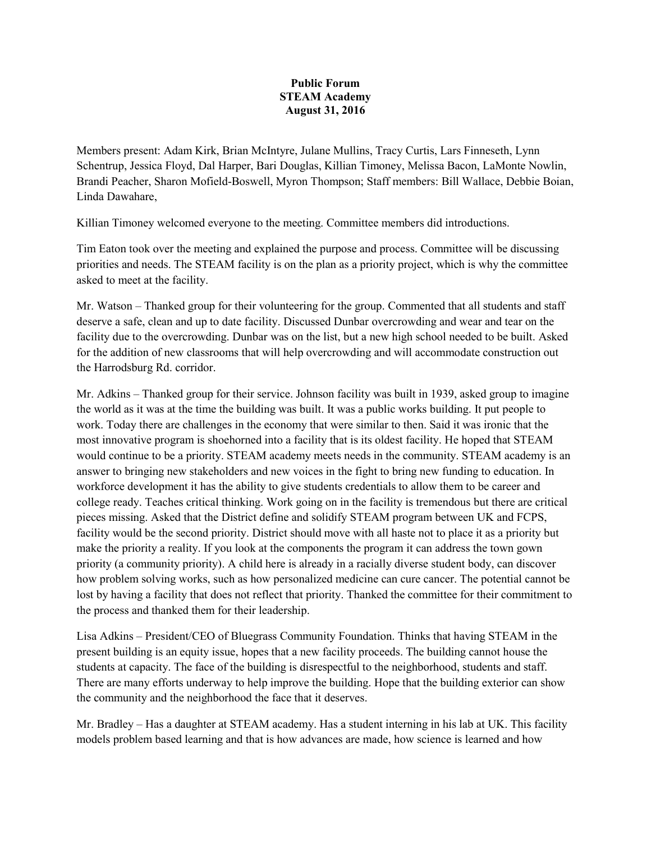## **Public Forum STEAM Academy August 31, 2016**

Members present: Adam Kirk, Brian McIntyre, Julane Mullins, Tracy Curtis, Lars Finneseth, Lynn Schentrup, Jessica Floyd, Dal Harper, Bari Douglas, Killian Timoney, Melissa Bacon, LaMonte Nowlin, Brandi Peacher, Sharon Mofield-Boswell, Myron Thompson; Staff members: Bill Wallace, Debbie Boian, Linda Dawahare,

Killian Timoney welcomed everyone to the meeting. Committee members did introductions.

Tim Eaton took over the meeting and explained the purpose and process. Committee will be discussing priorities and needs. The STEAM facility is on the plan as a priority project, which is why the committee asked to meet at the facility.

Mr. Watson – Thanked group for their volunteering for the group. Commented that all students and staff deserve a safe, clean and up to date facility. Discussed Dunbar overcrowding and wear and tear on the facility due to the overcrowding. Dunbar was on the list, but a new high school needed to be built. Asked for the addition of new classrooms that will help overcrowding and will accommodate construction out the Harrodsburg Rd. corridor.

Mr. Adkins – Thanked group for their service. Johnson facility was built in 1939, asked group to imagine the world as it was at the time the building was built. It was a public works building. It put people to work. Today there are challenges in the economy that were similar to then. Said it was ironic that the most innovative program is shoehorned into a facility that is its oldest facility. He hoped that STEAM would continue to be a priority. STEAM academy meets needs in the community. STEAM academy is an answer to bringing new stakeholders and new voices in the fight to bring new funding to education. In workforce development it has the ability to give students credentials to allow them to be career and college ready. Teaches critical thinking. Work going on in the facility is tremendous but there are critical pieces missing. Asked that the District define and solidify STEAM program between UK and FCPS, facility would be the second priority. District should move with all haste not to place it as a priority but make the priority a reality. If you look at the components the program it can address the town gown priority (a community priority). A child here is already in a racially diverse student body, can discover how problem solving works, such as how personalized medicine can cure cancer. The potential cannot be lost by having a facility that does not reflect that priority. Thanked the committee for their commitment to the process and thanked them for their leadership.

Lisa Adkins – President/CEO of Bluegrass Community Foundation. Thinks that having STEAM in the present building is an equity issue, hopes that a new facility proceeds. The building cannot house the students at capacity. The face of the building is disrespectful to the neighborhood, students and staff. There are many efforts underway to help improve the building. Hope that the building exterior can show the community and the neighborhood the face that it deserves.

Mr. Bradley – Has a daughter at STEAM academy. Has a student interning in his lab at UK. This facility models problem based learning and that is how advances are made, how science is learned and how